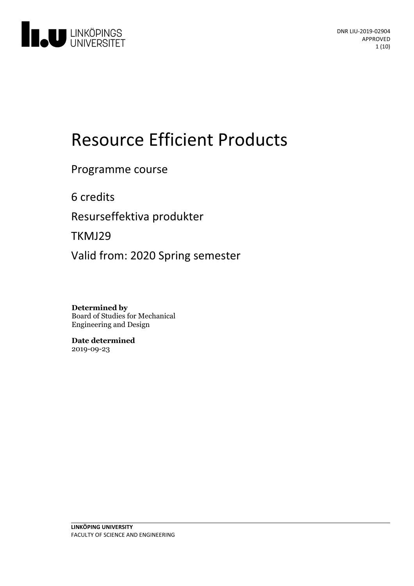

# Resource Efficient Products

### Programme course

6 credits

Resurseffektiva produkter

TKMJ29

Valid from: 2020 Spring semester

**Determined by** Board of Studies for Mechanical Engineering and Design

**Date determined** 2019-09-23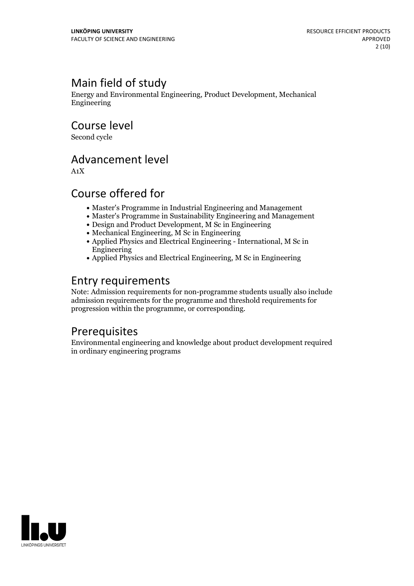# Main field of study

Energy and Environmental Engineering, Product Development, Mechanical Engineering

Course level

Second cycle

## Advancement level

A1X

## Course offered for

- Master's Programme in Industrial Engineering and Management
- Master's Programme in Sustainability Engineering and Management
- Design and Product Development, M Sc in Engineering
- Mechanical Engineering, M Sc in Engineering
- Applied Physics and Electrical Engineering International, M Sc in Engineering
- Applied Physics and Electrical Engineering, M Sc in Engineering

## Entry requirements

Note: Admission requirements for non-programme students usually also include admission requirements for the programme and threshold requirements for progression within the programme, or corresponding.

### Prerequisites

Environmental engineering and knowledge about product development required in ordinary engineering programs

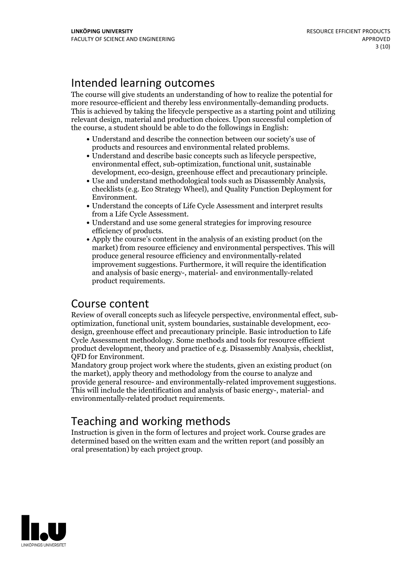# Intended learning outcomes

The course will give students an understanding of how to realize the potential for more resource-efficient and thereby less environmentally-demanding products. This is achieved by taking the lifecycle perspective as <sup>a</sup> starting point and utilizing relevant design, material and production choices. Upon successful completion of the course, a student should be able to do the followings in English:

- Understand and describe the connection between our society's use of
- products and resources and environmental related problems. Understand and describe basic concepts such as lifecycle perspective, environmental effect, sub-optimization, functional unit, sustainable
- Use and understand methodological tools such as Disassembly Analysis, checklists (e.g. Eco Strategy Wheel), and Quality Function Deployment for Environment.
- $\bullet$  Understand the concepts of Life Cycle Assessment and interpret results from a Life Cycle Assessment.<br>• Understand and use some general strategies for improving resource
- 
- efficiency of products.<br>• Apply the course's content in the analysis of an existing product (on the market) from resource efficiency and environmental perspectives. This will produce general resource efficiency and environmentally-related improvement suggestions. Furthermore, it will require the identification and analysis of basic energy-, material- and environmentally-related product requirements.

### Course content

Review of overall concepts such as lifecycle perspective, environmental effect, sub-<br>optimization, functional unit, system boundaries, sustainable development, eco-<br>design, greenhouse effect and precautionary principle. Ba Cycle Assessment methodology. Some methods and tools for resource efficient product development, theory and practice ofe.g. Disassembly Analysis, checklist, QFD for Environment. Mandatory group project work where the students, given an existing product (on

the market), apply theory and methodology from the course to analyze and provide general resource- and environmentally-related improvement suggestions. This will include the identification and analysis of basic energy-, material- and environmentally-related product requirements.

# Teaching and working methods

Instruction is given in the form of lectures and project work. Course grades are determined based on the written exam and the written report (and possibly an oral presentation) by each project group.

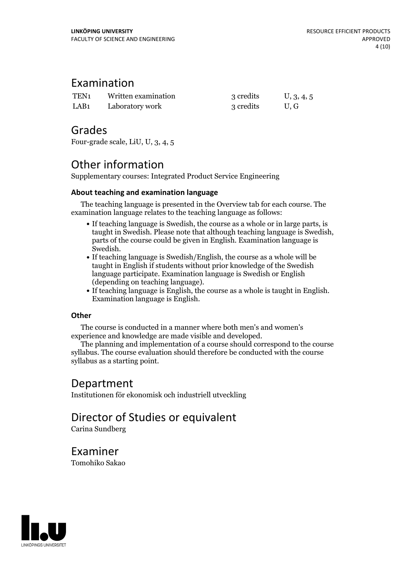### Examination

| TEN <sub>1</sub> | Written examination | 3 credits | U, 3, 4, 5 |
|------------------|---------------------|-----------|------------|
| LAB <sub>1</sub> | Laboratory work     | 3 credits | U.G        |

### Grades

Four-grade scale, LiU, U, 3, 4, 5

## Other information

Supplementary courses: Integrated Product Service Engineering

#### **About teaching and examination language**

The teaching language is presented in the Overview tab for each course. The examination language relates to the teaching language as follows:

- If teaching language is Swedish, the course as a whole or in large parts, is taught in Swedish. Please note that although teaching language is Swedish, parts of the course could be given in English. Examination language is Swedish.<br>• If teaching language is Swedish/English, the course as a whole will be
- taught in English if students without prior knowledge of the Swedish language participate. Examination language is Swedish or English
- (depending on teaching language).<br>• If teaching language is English, the course as a whole is taught in English.<br>Examination language is English.

#### **Other**

The course is conducted in a manner where both men's and women's

experience and knowledge are made visible and developed. The planning and implementation of <sup>a</sup> course should correspond to the course syllabus. The course evaluation should therefore be conducted with the course syllabus as a starting point.

### Department

Institutionen för ekonomisk och industriell utveckling

# Director of Studies or equivalent

Carina Sundberg

Examiner Tomohiko Sakao

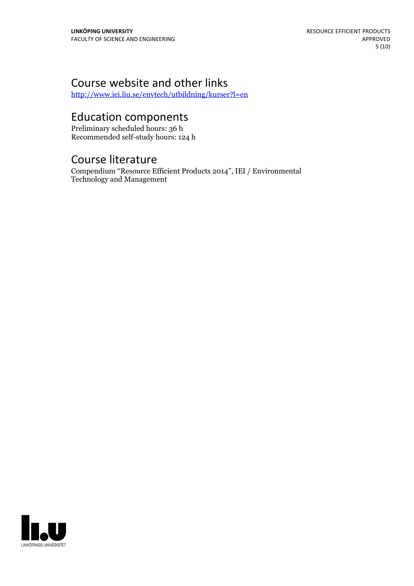# Course website and other links

<http://www.iei.liu.se/envtech/utbildning/kurser?l=en>

# Education components

Preliminary scheduled hours: 36 h Recommended self-study hours: 124 h

### Course literature

Compendium "Resource Efficient Products 2014", IEI / Environmental Technology and Management

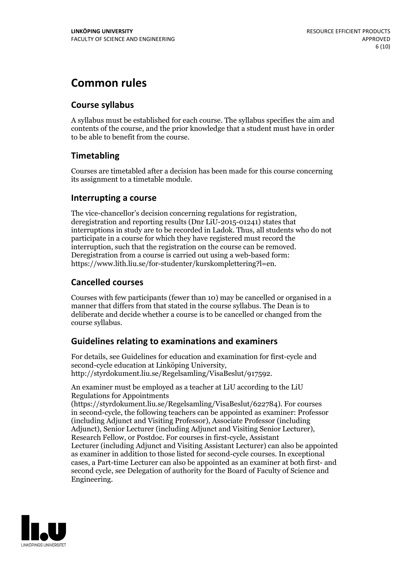# **Common rules**

#### **Course syllabus**

A syllabus must be established for each course. The syllabus specifies the aim and contents of the course, and the prior knowledge that a student must have in order to be able to benefit from the course.

#### **Timetabling**

Courses are timetabled after a decision has been made for this course concerning its assignment to a timetable module.

#### **Interrupting a course**

The vice-chancellor's decision concerning regulations for registration, deregistration and reporting results (Dnr LiU-2015-01241) states that interruptions in study are to be recorded in Ladok. Thus, all students who do not participate in a course for which they have registered must record the interruption, such that the registration on the course can be removed. Deregistration from <sup>a</sup> course is carried outusing <sup>a</sup> web-based form: https://www.lith.liu.se/for-studenter/kurskomplettering?l=en.

#### **Cancelled courses**

Courses with few participants (fewer than 10) may be cancelled or organised in a manner that differs from that stated in the course syllabus. The Dean is to deliberate and decide whether a course is to be cancelled or changed from the course syllabus.

#### **Guidelines relatingto examinations and examiners**

For details, see Guidelines for education and examination for first-cycle and second-cycle education at Linköping University, http://styrdokument.liu.se/Regelsamling/VisaBeslut/917592.

An examiner must be employed as a teacher at LiU according to the LiU Regulations for Appointments

(https://styrdokument.liu.se/Regelsamling/VisaBeslut/622784). For courses in second-cycle, the following teachers can be appointed as examiner: Professor (including Adjunct and Visiting Professor), Associate Professor (including Adjunct), Senior Lecturer (including Adjunct and Visiting Senior Lecturer), Research Fellow, or Postdoc. For courses in first-cycle, Assistant Lecturer (including Adjunct and Visiting Assistant Lecturer) can also be appointed as examiner in addition to those listed for second-cycle courses. In exceptional cases, a Part-time Lecturer can also be appointed as an examiner at both first- and second cycle, see Delegation of authority for the Board of Faculty of Science and Engineering.

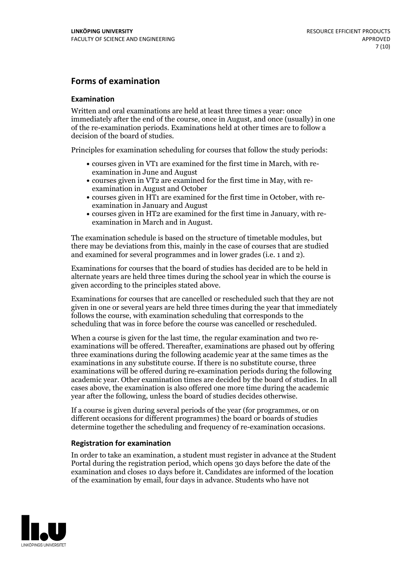#### **Forms of examination**

#### **Examination**

Written and oral examinations are held at least three times a year: once immediately after the end of the course, once in August, and once (usually) in one of the re-examination periods. Examinations held at other times are to follow a decision of the board of studies.

Principles for examination scheduling for courses that follow the study periods:

- courses given in VT1 are examined for the first time in March, with re-examination in June and August
- courses given in VT2 are examined for the first time in May, with re-examination in August and October
- courses given in HT1 are examined for the first time in October, with re-examination in January and August
- courses given in HT2 are examined for the first time in January, with re-examination in March and in August.

The examination schedule is based on the structure of timetable modules, but there may be deviations from this, mainly in the case of courses that are studied and examined for several programmes and in lower grades (i.e. 1 and 2).

Examinations for courses that the board of studies has decided are to be held in alternate years are held three times during the school year in which the course is given according to the principles stated above.

Examinations for courses that are cancelled orrescheduled such that they are not given in one or several years are held three times during the year that immediately follows the course, with examination scheduling that corresponds to the scheduling that was in force before the course was cancelled or rescheduled.

When a course is given for the last time, the regular examination and two re-<br>examinations will be offered. Thereafter, examinations are phased out by offering three examinations during the following academic year at the same times as the examinations in any substitute course. If there is no substitute course, three examinations will be offered during re-examination periods during the following academic year. Other examination times are decided by the board of studies. In all cases above, the examination is also offered one more time during the academic year after the following, unless the board of studies decides otherwise.

If a course is given during several periods of the year (for programmes, or on different occasions for different programmes) the board or boards of studies determine together the scheduling and frequency of re-examination occasions.

#### **Registration for examination**

In order to take an examination, a student must register in advance at the Student Portal during the registration period, which opens 30 days before the date of the examination and closes 10 days before it. Candidates are informed of the location of the examination by email, four days in advance. Students who have not

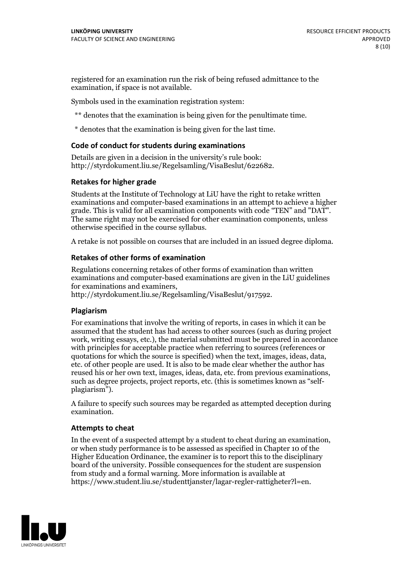registered for an examination run the risk of being refused admittance to the examination, if space is not available.

Symbols used in the examination registration system:

\*\* denotes that the examination is being given for the penultimate time.

\* denotes that the examination is being given for the last time.

#### **Code of conduct for students during examinations**

Details are given in a decision in the university's rule book: http://styrdokument.liu.se/Regelsamling/VisaBeslut/622682.

#### **Retakes for higher grade**

Students at the Institute of Technology at LiU have the right to retake written examinations and computer-based examinations in an attempt to achieve a higher grade. This is valid for all examination components with code "TEN" and "DAT". The same right may not be exercised for other examination components, unless otherwise specified in the course syllabus.

A retake is not possible on courses that are included in an issued degree diploma.

#### **Retakes of other forms of examination**

Regulations concerning retakes of other forms of examination than written examinations and computer-based examinations are given in the LiU guidelines

http://styrdokument.liu.se/Regelsamling/VisaBeslut/917592.

#### **Plagiarism**

For examinations that involve the writing of reports, in cases in which it can be assumed that the student has had access to other sources (such as during project work, writing essays, etc.), the material submitted must be prepared in accordance with principles for acceptable practice when referring to sources (references or quotations for which the source is specified) when the text, images, ideas, data,  $\vec{e}$  etc. of other people are used. It is also to be made clear whether the author has reused his or her own text, images, ideas, data, etc. from previous examinations, such as degree projects, project reports, etc. (this is sometimes known as "self- plagiarism").

A failure to specify such sources may be regarded as attempted deception during examination.

#### **Attempts to cheat**

In the event of <sup>a</sup> suspected attempt by <sup>a</sup> student to cheat during an examination, or when study performance is to be assessed as specified in Chapter <sup>10</sup> of the Higher Education Ordinance, the examiner is to report this to the disciplinary board of the university. Possible consequences for the student are suspension from study and a formal warning. More information is available at https://www.student.liu.se/studenttjanster/lagar-regler-rattigheter?l=en.

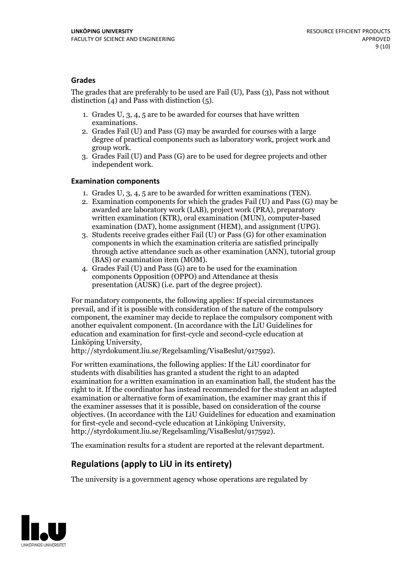#### **Grades**

The grades that are preferably to be used are Fail (U), Pass (3), Pass not without distinction  $(4)$  and Pass with distinction  $(5)$ .

- 1. Grades U, 3, 4, 5 are to be awarded for courses that have written
- examinations. 2. Grades Fail (U) and Pass (G) may be awarded for courses with <sup>a</sup> large degree of practical components such as laboratory work, project work and group work. 3. Grades Fail (U) and Pass (G) are to be used for degree projects and other
- independent work.

#### **Examination components**

- 
- 1. Grades U, 3, 4, <sup>5</sup> are to be awarded for written examinations (TEN). 2. Examination components for which the grades Fail (U) and Pass (G) may be awarded are laboratory work (LAB), project work (PRA), preparatory written examination (KTR), oral examination (MUN), computer-based
- examination (DAT), home assignment (HEM), and assignment (UPG). 3. Students receive grades either Fail (U) or Pass (G) for other examination components in which the examination criteria are satisfied principally through active attendance such as other examination (ANN), tutorial group (BAS) or examination item (MOM). 4. Grades Fail (U) and Pass (G) are to be used for the examination
- components Opposition (OPPO) and Attendance at thesis presentation (AUSK) (i.e. part of the degree project).

For mandatory components, the following applies: If special circumstances prevail, and if it is possible with consideration of the nature of the compulsory component, the examiner may decide to replace the compulsory component with another equivalent component. (In accordance with the LiU Guidelines for education and examination for first-cycle and second-cycle education at Linköping University, http://styrdokument.liu.se/Regelsamling/VisaBeslut/917592).

For written examinations, the following applies: If the LiU coordinator for students with disabilities has granted a student the right to an adapted examination for a written examination in an examination hall, the student has the right to it. If the coordinator has instead recommended for the student an adapted examination or alternative form of examination, the examiner may grant this if the examiner assesses that it is possible, based on consideration of the course objectives. (In accordance with the LiU Guidelines for education and examination for first-cycle and second-cycle education at Linköping University, http://styrdokument.liu.se/Regelsamling/VisaBeslut/917592).

The examination results for a student are reported at the relevant department.

#### **Regulations (applyto LiU in its entirety)**

The university is a government agency whose operations are regulated by